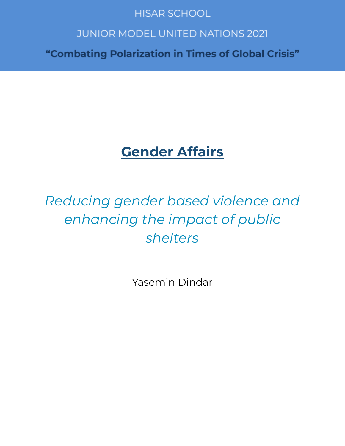### **HISAR SCHOOL**

## **JUNIOR MODEL UNITED NATIONS 2021**

"Combating Polarization in Times of Global Crisis"

## **Gender Affairs**

# *Reducing gender based violence and enhancing the impact of public shelters*

Yasemin Dindar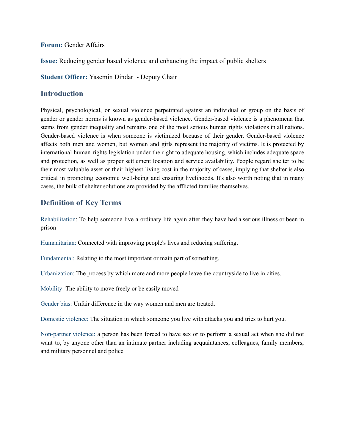#### **Forum:** Gender Affairs

**Issue:** Reducing gender based violence and enhancing the impact of public shelters

**Student Officer:** Yasemin Dindar - Deputy Chair

#### **Introduction**

Physical, psychological, or sexual violence perpetrated against an individual or group on the basis of gender or gender norms is known as gender-based violence. Gender-based violence is a phenomena that stems from gender inequality and remains one of the most serious human rights violations in all nations. Gender-based violence is when someone is victimized because of their gender. Gender-based violence affects both men and women, but women and girls represent the majority of victims. It is protected by international human rights legislation under the right to adequate housing, which includes adequate space and protection, as well as proper settlement location and service availability. People regard shelter to be their most valuable asset or their highest living cost in the majority of cases, implying that shelter is also critical in promoting economic well-being and ensuring livelihoods. It's also worth noting that in many cases, the bulk of shelter solutions are provided by the afflicted families themselves.

#### **Definition of Key Terms**

Rehabilitation: To help someone live a ordinary life again after they have had a serious illness or been in prison

Humanitarian: Connected with improving people's lives and reducing suffering.

Fundamental: Relating to the most important or main part of something.

Urbanization: The process by which more and more people leave the countryside to live in cities.

Mobility: The ability to move freely or be easily moved

Gender bias: Unfair difference in the way women and men are treated.

Domestic violence: The situation in which someone you live with attacks you and tries to hurt you.

Non-partner violence: a person has been forced to have sex or to perform a sexual act when she did not want to, by anyone other than an intimate partner including acquaintances, colleagues, family members, and military personnel and police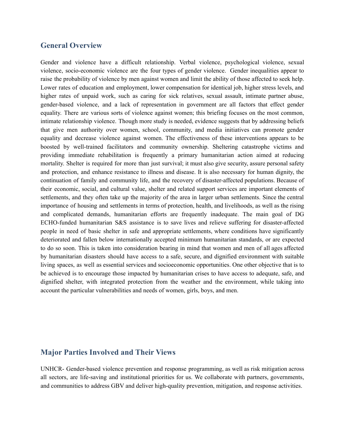#### **General Overview**

Gender and violence have a difficult relationship. Verbal violence, psychological violence, sexual violence, socio-economic violence are the four types of gender violence. Gender inequalities appear to raise the probability of violence by men against women and limit the ability of those affected to seek help. Lower rates of education and employment, lower compensation for identical job, higher stress levels, and higher rates of unpaid work, such as caring for sick relatives, sexual assault, intimate partner abuse, gender-based violence, and a lack of representation in government are all factors that effect gender equality. There are various sorts of violence against women; this briefing focuses on the most common, intimate relationship violence. Though more study is needed, evidence suggests that by addressing beliefs that give men authority over women, school, community, and media initiatives can promote gender equality and decrease violence against women. The effectiveness of these interventions appears to be boosted by well-trained facilitators and community ownership. Sheltering catastrophe victims and providing immediate rehabilitation is frequently a primary humanitarian action aimed at reducing mortality. Shelter is required for more than just survival; it must also give security, assure personal safety and protection, and enhance resistance to illness and disease. It is also necessary for human dignity, the continuation of family and community life, and the recovery of disaster-affected populations. Because of their economic, social, and cultural value, shelter and related support services are important elements of settlements, and they often take up the majority of the area in larger urban settlements. Since the central importance of housing and settlements in terms of protection, health, and livelihoods, as well as the rising and complicated demands, humanitarian efforts are frequently inadequate. The main goal of DG ECHO-funded humanitarian S&S assistance is to save lives and relieve suffering for disaster-affected people in need of basic shelter in safe and appropriate settlements, where conditions have significantly deteriorated and fallen below internationally accepted minimum humanitarian standards, or are expected to do so soon. This is taken into consideration bearing in mind that women and men of all ages affected by humanitarian disasters should have access to a safe, secure, and dignified environment with suitable living spaces, as well as essential services and socioeconomic opportunities. One other objective that is to be achieved is to encourage those impacted by humanitarian crises to have access to adequate, safe, and dignified shelter, with integrated protection from the weather and the environment, while taking into account the particular vulnerabilities and needs of women, girls, boys, and men.

#### **Major Parties Involved and Their Views**

UNHCR- Gender-based violence prevention and response programming, as well as risk mitigation across all sectors, are life-saving and institutional priorities for us. We collaborate with partners, governments, and communities to address GBV and deliver high-quality prevention, mitigation, and response activities.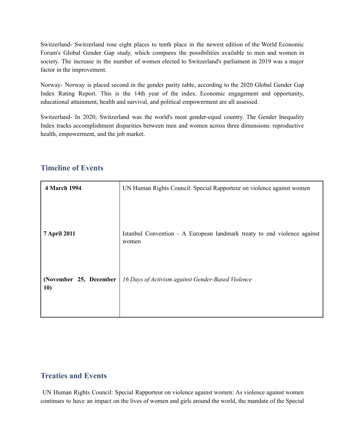Switzerland- Switzerland rose eight places to tenth place in the newest edition of the World Economic Forum's Global Gender Gap study, which compares the possibilities available to men and women in society. The increase in the number of women elected to Switzerland's parliament in 2019 was a major factor in the improvement.

Norway- Norway is placed second in the gender parity table, according to the 2020 Global Gender Gap Index Rating Report. This is the 14th year of the index. Economic engagement and opportunity, educational attainment, health and survival, and political empowerment are all assessed.

Switzerland- In 2020, Switzerland was the world's most gender-equal country. The Gender Inequality Index tracks accomplishment disparities between men and women across three dimensions: reproductive health, empowerment, and the job market.

| 4 March 1994                  | UN Human Rights Council: Special Rapporteur on violence against women             |
|-------------------------------|-----------------------------------------------------------------------------------|
|                               |                                                                                   |
| <b>7 April 2011</b>           | Istanbul Convention - A European landmark treaty to end violence against<br>women |
| (November 25, December<br>10) | 16 Days of Activism against Gender-Based Violence                                 |

#### **Timeline of Events**

#### **Treaties and Events**

UN Human Rights Council: Special Rapporteur on violence against women: As violence against women continues to have an impact on the lives of women and girls around the world, the mandate of the Special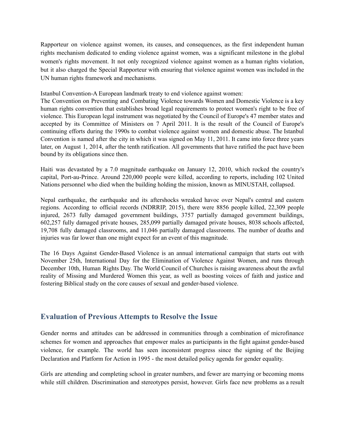Rapporteur on violence against women, its causes, and consequences, as the first independent human rights mechanism dedicated to ending violence against women, was a significant milestone in the global women's rights movement. It not only recognized violence against women as a human rights violation, but it also charged the Special Rapporteur with ensuring that violence against women was included in the UN human rights framework and mechanisms.

Istanbul Convention-A European landmark treaty to end violence against women:

The Convention on Preventing and Combating Violence towards Women and Domestic Violence is a key human rights convention that establishes broad legal requirements to protect women's right to be free of violence. This European legal instrument was negotiated by the Council of Europe's 47 member states and accepted by its Committee of Ministers on 7 April 2011. It is the result of the Council of Europe's continuing efforts during the 1990s to combat violence against women and domestic abuse. The Istanbul Convention is named after the city in which it was signed on May 11, 2011. It came into force three years later, on August 1, 2014, after the tenth ratification. All governments that have ratified the pact have been bound by its obligations since then.

Haiti was devastated by a 7.0 magnitude earthquake on January 12, 2010, which rocked the country's capital, Port-au-Prince. Around 220,000 people were killed, according to reports, including 102 United Nations personnel who died when the building holding the mission, known as MINUSTAH, collapsed.

Nepal earthquake, the earthquake and its aftershocks wreaked havoc over Nepal's central and eastern regions. According to official records (NDRRIP, 2015), there were 8856 people killed, 22,309 people injured, 2673 fully damaged government buildings, 3757 partially damaged government buildings, 602,257 fully damaged private houses, 285,099 partially damaged private houses, 8038 schools affected, 19,708 fully damaged classrooms, and 11,046 partially damaged classrooms. The number of deaths and injuries was far lower than one might expect for an event of this magnitude.

The 16 Days Against Gender-Based Violence is an annual international campaign that starts out with November 25th, International Day for the Elimination of Violence Against Women, and runs through December 10th, Human Rights Day. The World Council of Churches is raising awareness about the awful reality of Missing and Murdered Women this year, as well as boosting voices of faith and justice and fostering Biblical study on the core causes of sexual and gender-based violence.

#### **Evaluation of Previous Attempts to Resolve the Issue**

Gender norms and attitudes can be addressed in communities through a combination of microfinance schemes for women and approaches that empower males as participants in the fight against gender-based violence, for example. The world has seen inconsistent progress since the signing of the Beijing Declaration and Platform for Action in 1995 - the most detailed policy agenda for gender equality.

Girls are attending and completing school in greater numbers, and fewer are marrying or becoming moms while still children. Discrimination and stereotypes persist, however. Girls face new problems as a result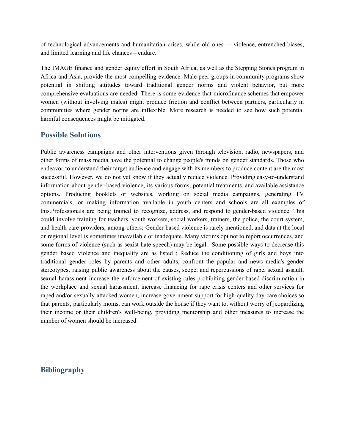of technological advancements and humanitarian crises, while old ones — violence, entrenched biases, and limited learning and life chances – endure.

The IMAGE finance and gender equity effort in South Africa, as well as the Stepping Stones program in Africa and Asia, provide the most compelling evidence. Male peer groups in community programs show potential in shifting attitudes toward traditional gender norms and violent behavior, but more comprehensive evaluations are needed. There is some evidence that microfinance schemes that empower women (without involving males) might produce friction and conflict between partners, particularly in communities where gender norms are inflexible. More research is needed to see how such potential harmful consequences might be mitigated.

#### **Possible Solutions**

Public awareness campaigns and other interventions given through television, radio, newspapers, and other forms of mass media have the potential to change people's minds on gender standards. Those who endeavor to understand their target audience and engage with its members to produce content are the most successful. However, we do not yet know if they actually reduce violence. Providing easy-to-understand information about gender-based violence, its various forms, potential treatments, and available assistance options. Producing booklets or websites, working on social media campaigns, generating TV commercials, or making information available in youth centers and schools are all examples of this.Professionals are being trained to recognize, address, and respond to gender-based violence. This could involve training for teachers, youth workers, social workers, trainers, the police, the court system, and health care providers, among others; Gender-based violence is rarely mentioned, and data at the local or regional level is sometimes unavailable or inadequate. Many victims opt not to report occurrences, and some forms of violence (such as sexist hate speech) may be legal. Some possible ways to decrease this gender based violence and inequality are as listed ; Reduce the conditioning of girls and boys into traditional gender roles by parents and other adults, confront the popular and news media's gender stereotypes, raising public awareness about the causes, scope, and repercussions of rape, sexual assault, sexual harassment increase the enforcement of existing rules prohibiting gender-based discrimination in the workplace and sexual harassment, increase financing for rape crisis centers and other services for raped and/or sexually attacked women, increase government support for high-quality day-care choices so that parents, particularly moms, can work outside the house if they want to, without worry of jeopardizing their income or their children's well-being, providing mentorship and other measures to increase the number of women should be increased.

#### **Bibliography**